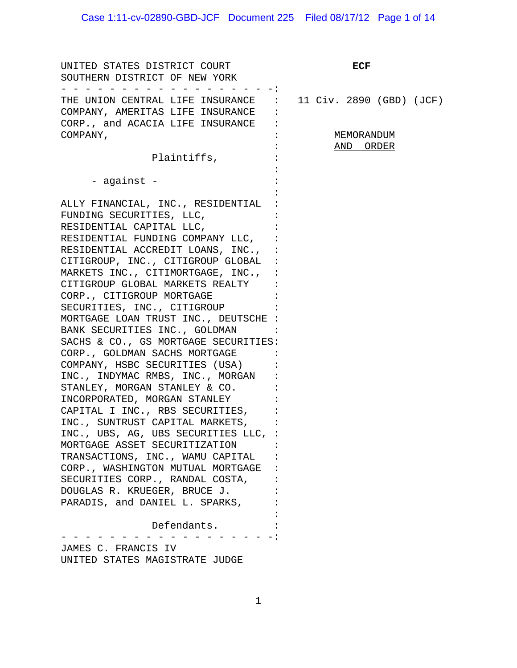# Case 1:11-cv-02890-GBD-JCF Document 225 Filed 08/17/12 Page 1 of 14

| UNITED STATES DISTRICT COURT<br>SOUTHERN DISTRICT OF NEW YORK                                                                                                                                                                                                                                                                                                                                                                                                                                                                                                                                                                                                                                                                                                                                                                                                                                                                                                                |                         |  | ECF |                          |  |
|------------------------------------------------------------------------------------------------------------------------------------------------------------------------------------------------------------------------------------------------------------------------------------------------------------------------------------------------------------------------------------------------------------------------------------------------------------------------------------------------------------------------------------------------------------------------------------------------------------------------------------------------------------------------------------------------------------------------------------------------------------------------------------------------------------------------------------------------------------------------------------------------------------------------------------------------------------------------------|-------------------------|--|-----|--------------------------|--|
| THE UNION CENTRAL LIFE INSURANCE<br>COMPANY, AMERITAS LIFE INSURANCE<br>CORP., and ACACIA LIFE INSURANCE                                                                                                                                                                                                                                                                                                                                                                                                                                                                                                                                                                                                                                                                                                                                                                                                                                                                     |                         |  |     | 11 Civ. 2890 (GBD) (JCF) |  |
| COMPANY,                                                                                                                                                                                                                                                                                                                                                                                                                                                                                                                                                                                                                                                                                                                                                                                                                                                                                                                                                                     | MEMORANDUM<br>AND ORDER |  |     |                          |  |
| Plaintiffs,                                                                                                                                                                                                                                                                                                                                                                                                                                                                                                                                                                                                                                                                                                                                                                                                                                                                                                                                                                  |                         |  |     |                          |  |
| - against -                                                                                                                                                                                                                                                                                                                                                                                                                                                                                                                                                                                                                                                                                                                                                                                                                                                                                                                                                                  |                         |  |     |                          |  |
| ALLY FINANCIAL, INC., RESIDENTIAL<br>FUNDING SECURITIES, LLC,<br>RESIDENTIAL CAPITAL LLC,<br>RESIDENTIAL FUNDING COMPANY LLC,<br>RESIDENTIAL ACCREDIT LOANS, INC.,<br>CITIGROUP, INC., CITIGROUP GLOBAL<br>MARKETS INC., CITIMORTGAGE, INC.,<br>CITIGROUP GLOBAL MARKETS REALTY<br>CORP., CITIGROUP MORTGAGE<br>SECURITIES, INC., CITIGROUP<br>MORTGAGE LOAN TRUST INC., DEUTSCHE<br>BANK SECURITIES INC., GOLDMAN<br>SACHS & CO., GS MORTGAGE SECURITIES:<br>CORP., GOLDMAN SACHS MORTGAGE<br>COMPANY, HSBC SECURITIES (USA)<br>INC., INDYMAC RMBS, INC., MORGAN<br>STANLEY, MORGAN STANLEY & CO.<br>INCORPORATED, MORGAN STANLEY<br>CAPITAL I INC., RBS SECURITIES,<br>INC., SUNTRUST CAPITAL MARKETS,<br>INC., UBS, AG, UBS SECURITIES LLC,<br>MORTGAGE ASSET SECURITIZATION<br>TRANSACTIONS, INC., WAMU CAPITAL<br>CORP., WASHINGTON MUTUAL MORTGAGE<br>SECURITIES CORP., RANDAL COSTA,<br>DOUGLAS R. KRUEGER, BRUCE J.<br>PARADIS, and DANIEL L. SPARKS,<br>Defendants. |                         |  |     |                          |  |
|                                                                                                                                                                                                                                                                                                                                                                                                                                                                                                                                                                                                                                                                                                                                                                                                                                                                                                                                                                              |                         |  |     |                          |  |
| JAMES C. FRANCIS IV<br>UNITED STATES MAGISTRATE JUDGE                                                                                                                                                                                                                                                                                                                                                                                                                                                                                                                                                                                                                                                                                                                                                                                                                                                                                                                        |                         |  |     |                          |  |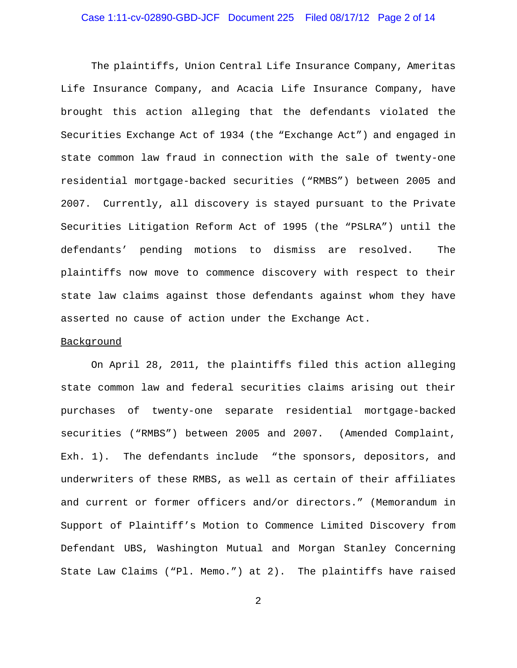#### Case 1:11-cv-02890-GBD-JCF Document 225 Filed 08/17/12 Page 2 of 14

The plaintiffs, Union Central Life Insurance Company, Ameritas Life Insurance Company, and Acacia Life Insurance Company, have brought this action alleging that the defendants violated the Securities Exchange Act of 1934 (the "Exchange Act") and engaged in state common law fraud in connection with the sale of twenty-one residential mortgage-backed securities ("RMBS") between 2005 and 2007. Currently, all discovery is stayed pursuant to the Private Securities Litigation Reform Act of 1995 (the "PSLRA") until the defendants' pending motions to dismiss are resolved. The plaintiffs now move to commence discovery with respect to their state law claims against those defendants against whom they have asserted no cause of action under the Exchange Act.

#### Background

On April 28, 2011, the plaintiffs filed this action alleging state common law and federal securities claims arising out their purchases of twenty-one separate residential mortgage-backed securities ("RMBS") between 2005 and 2007. (Amended Complaint, Exh. 1). The defendants include "the sponsors, depositors, and underwriters of these RMBS, as well as certain of their affiliates and current or former officers and/or directors." (Memorandum in Support of Plaintiff's Motion to Commence Limited Discovery from Defendant UBS, Washington Mutual and Morgan Stanley Concerning State Law Claims ("Pl. Memo.") at 2). The plaintiffs have raised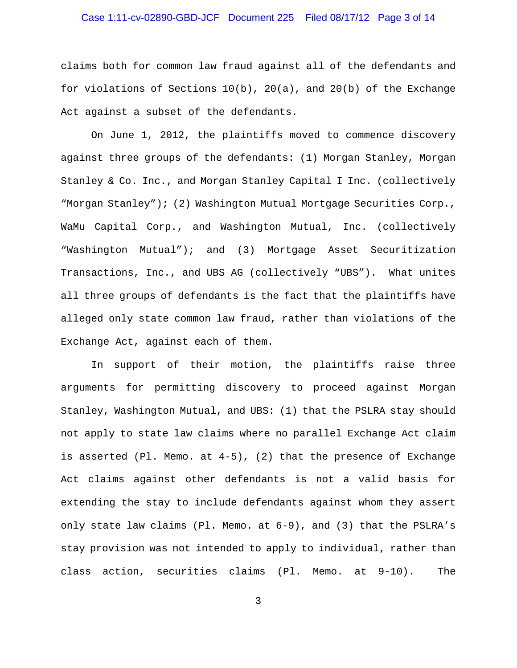## Case 1:11-cv-02890-GBD-JCF Document 225 Filed 08/17/12 Page 3 of 14

claims both for common law fraud against all of the defendants and for violations of Sections  $10(b)$ ,  $20(a)$ , and  $20(b)$  of the Exchange Act against a subset of the defendants.

On June 1, 2012, the plaintiffs moved to commence discovery against three groups of the defendants: (1) Morgan Stanley, Morgan Stanley & Co. Inc., and Morgan Stanley Capital I Inc. (collectively "Morgan Stanley"); (2) Washington Mutual Mortgage Securities Corp., WaMu Capital Corp., and Washington Mutual, Inc. (collectively "Washington Mutual"); and (3) Mortgage Asset Securitization Transactions, Inc., and UBS AG (collectively "UBS"). What unites all three groups of defendants is the fact that the plaintiffs have alleged only state common law fraud, rather than violations of the Exchange Act, against each of them.

In support of their motion, the plaintiffs raise three arguments for permitting discovery to proceed against Morgan Stanley, Washington Mutual, and UBS: (1) that the PSLRA stay should not apply to state law claims where no parallel Exchange Act claim is asserted (Pl. Memo. at 4-5), (2) that the presence of Exchange Act claims against other defendants is not a valid basis for extending the stay to include defendants against whom they assert only state law claims (Pl. Memo. at 6-9), and (3) that the PSLRA's stay provision was not intended to apply to individual, rather than class action, securities claims (Pl. Memo. at 9-10). The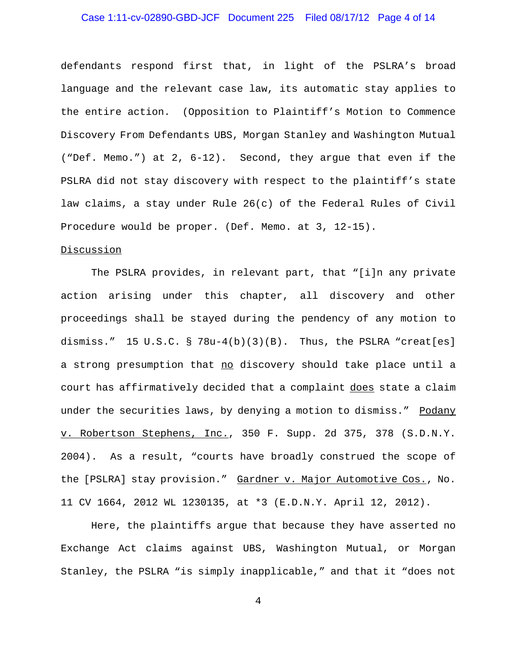## Case 1:11-cv-02890-GBD-JCF Document 225 Filed 08/17/12 Page 4 of 14

defendants respond first that, in light of the PSLRA's broad language and the relevant case law, its automatic stay applies to the entire action. (Opposition to Plaintiff's Motion to Commence Discovery From Defendants UBS, Morgan Stanley and Washington Mutual ("Def. Memo.") at 2, 6-12). Second, they argue that even if the PSLRA did not stay discovery with respect to the plaintiff's state law claims, a stay under Rule 26(c) of the Federal Rules of Civil Procedure would be proper. (Def. Memo. at 3, 12-15).

#### Discussion

The PSLRA provides, in relevant part, that "[i]n any private action arising under this chapter, all discovery and other proceedings shall be stayed during the pendency of any motion to dismiss." 15 U.S.C.  $\S$  78u-4(b)(3)(B). Thus, the PSLRA "creat[es] a strong presumption that no discovery should take place until a court has affirmatively decided that a complaint does state a claim under the securities laws, by denying a motion to dismiss." Podany v. Robertson Stephens, Inc., 350 F. Supp. 2d 375, 378 (S.D.N.Y. 2004). As a result, "courts have broadly construed the scope of the [PSLRA] stay provision." Gardner v. Major Automotive Cos., No. 11 CV 1664, 2012 WL 1230135, at \*3 (E.D.N.Y. April 12, 2012).

Here, the plaintiffs argue that because they have asserted no Exchange Act claims against UBS, Washington Mutual, or Morgan Stanley, the PSLRA "is simply inapplicable," and that it "does not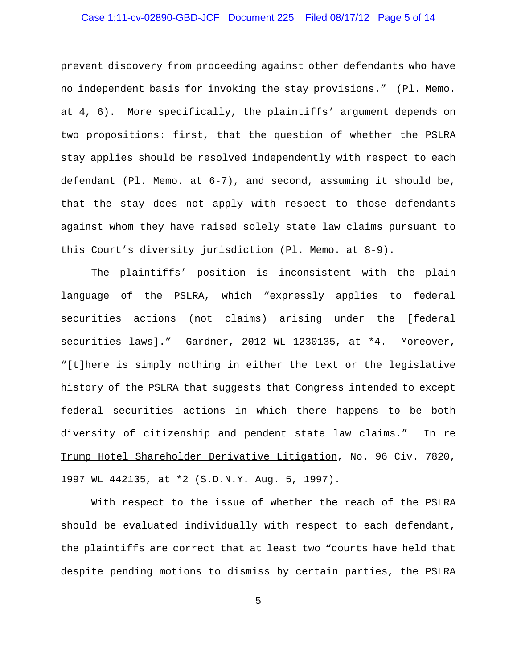## Case 1:11-cv-02890-GBD-JCF Document 225 Filed 08/17/12 Page 5 of 14

prevent discovery from proceeding against other defendants who have no independent basis for invoking the stay provisions." (Pl. Memo. at 4, 6). More specifically, the plaintiffs' argument depends on two propositions: first, that the question of whether the PSLRA stay applies should be resolved independently with respect to each defendant (Pl. Memo. at 6-7), and second, assuming it should be, that the stay does not apply with respect to those defendants against whom they have raised solely state law claims pursuant to this Court's diversity jurisdiction (Pl. Memo. at 8-9).

The plaintiffs' position is inconsistent with the plain language of the PSLRA, which "expressly applies to federal securities actions (not claims) arising under the [federal securities laws]." Gardner, 2012 WL 1230135, at \*4. Moreover, "[t]here is simply nothing in either the text or the legislative history of the PSLRA that suggests that Congress intended to except federal securities actions in which there happens to be both diversity of citizenship and pendent state law claims." In re Trump Hotel Shareholder Derivative Litigation, No. 96 Civ. 7820, 1997 WL 442135, at \*2 (S.D.N.Y. Aug. 5, 1997).

With respect to the issue of whether the reach of the PSLRA should be evaluated individually with respect to each defendant, the plaintiffs are correct that at least two "courts have held that despite pending motions to dismiss by certain parties, the PSLRA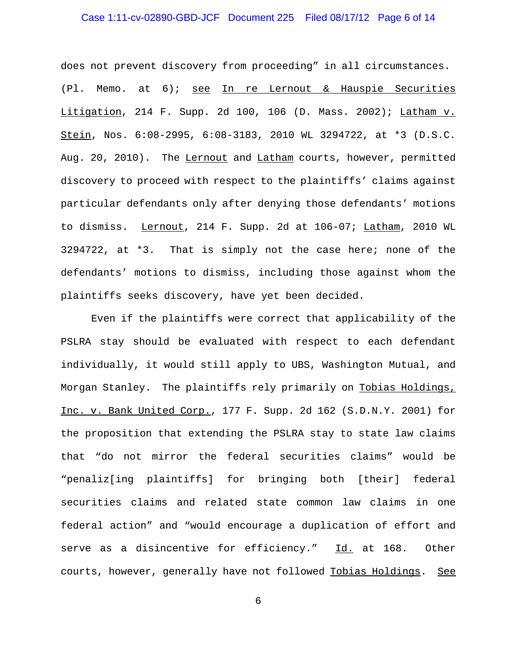## Case 1:11-cv-02890-GBD-JCF Document 225 Filed 08/17/12 Page 6 of 14

does not prevent discovery from proceeding" in all circumstances. (Pl. Memo. at 6); see In re Lernout & Hauspie Securities Litigation, 214 F. Supp. 2d 100, 106 (D. Mass. 2002); Latham v. Stein, Nos. 6:08-2995, 6:08-3183, 2010 WL 3294722, at \*3 (D.S.C. Aug. 20, 2010). The Lernout and Latham courts, however, permitted discovery to proceed with respect to the plaintiffs' claims against particular defendants only after denying those defendants' motions to dismiss. Lernout, 214 F. Supp. 2d at 106-07; Latham, 2010 WL 3294722, at \*3. That is simply not the case here; none of the defendants' motions to dismiss, including those against whom the plaintiffs seeks discovery, have yet been decided.

Even if the plaintiffs were correct that applicability of the PSLRA stay should be evaluated with respect to each defendant individually, it would still apply to UBS, Washington Mutual, and Morgan Stanley. The plaintiffs rely primarily on Tobias Holdings, Inc. v. Bank United Corp., 177 F. Supp. 2d 162 (S.D.N.Y. 2001) for the proposition that extending the PSLRA stay to state law claims that "do not mirror the federal securities claims" would be "penaliz[ing plaintiffs] for bringing both [their] federal securities claims and related state common law claims in one federal action" and "would encourage a duplication of effort and serve as a disincentive for efficiency." Id. at 168. Other courts, however, generally have not followed Tobias Holdings. See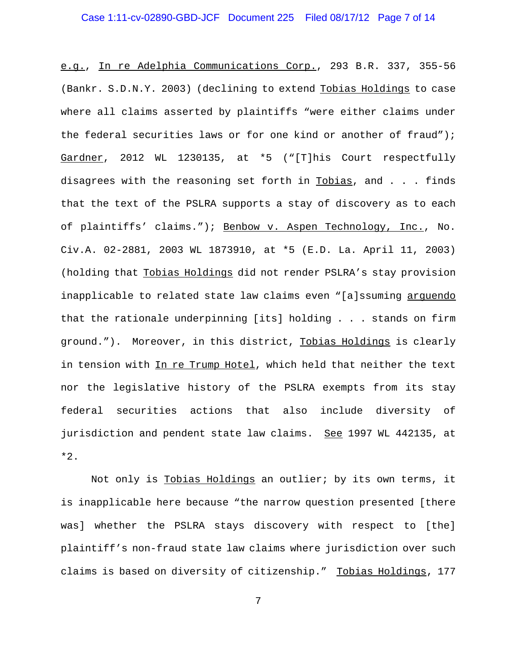## Case 1:11-cv-02890-GBD-JCF Document 225 Filed 08/17/12 Page 7 of 14

e.g., In re Adelphia Communications Corp., 293 B.R. 337, 355-56 (Bankr. S.D.N.Y. 2003) (declining to extend Tobias Holdings to case where all claims asserted by plaintiffs "were either claims under the federal securities laws or for one kind or another of fraud"); Gardner, 2012 WL 1230135, at \*5 ("[T]his Court respectfully disagrees with the reasoning set forth in Tobias, and . . . finds that the text of the PSLRA supports a stay of discovery as to each of plaintiffs' claims."); Benbow v. Aspen Technology, Inc., No. Civ.A. 02-2881, 2003 WL 1873910, at \*5 (E.D. La. April 11, 2003) (holding that Tobias Holdings did not render PSLRA's stay provision inapplicable to related state law claims even "[a]ssuming arguendo that the rationale underpinning [its] holding . . . stands on firm ground."). Moreover, in this district, Tobias Holdings is clearly in tension with In re Trump Hotel, which held that neither the text nor the legislative history of the PSLRA exempts from its stay federal securities actions that also include diversity of jurisdiction and pendent state law claims. See 1997 WL 442135, at \*2.

Not only is Tobias Holdings an outlier; by its own terms, it is inapplicable here because "the narrow question presented [there was] whether the PSLRA stays discovery with respect to [the] plaintiff's non-fraud state law claims where jurisdiction over such claims is based on diversity of citizenship." Tobias Holdings, 177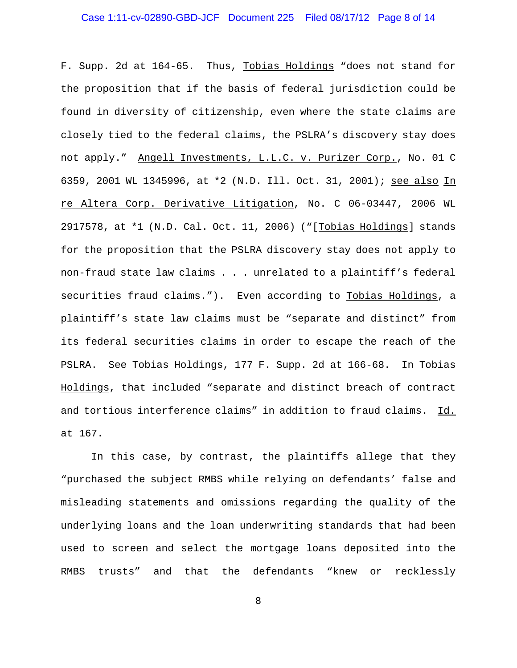#### Case 1:11-cv-02890-GBD-JCF Document 225 Filed 08/17/12 Page 8 of 14

F. Supp. 2d at 164-65. Thus, Tobias Holdings "does not stand for the proposition that if the basis of federal jurisdiction could be found in diversity of citizenship, even where the state claims are closely tied to the federal claims, the PSLRA's discovery stay does not apply." Angell Investments, L.L.C. v. Purizer Corp., No. 01 C 6359, 2001 WL 1345996, at \*2 (N.D. Ill. Oct. 31, 2001); see also In re Altera Corp. Derivative Litigation, No. C 06-03447, 2006 WL 2917578, at \*1 (N.D. Cal. Oct. 11, 2006) ("[Tobias Holdings] stands for the proposition that the PSLRA discovery stay does not apply to non-fraud state law claims . . . unrelated to a plaintiff's federal securities fraud claims."). Even according to Tobias Holdings, a plaintiff's state law claims must be "separate and distinct" from its federal securities claims in order to escape the reach of the PSLRA. See Tobias Holdings, 177 F. Supp. 2d at 166-68. In Tobias Holdings, that included "separate and distinct breach of contract and tortious interference claims" in addition to fraud claims. Id. at 167.

In this case, by contrast, the plaintiffs allege that they "purchased the subject RMBS while relying on defendants' false and misleading statements and omissions regarding the quality of the underlying loans and the loan underwriting standards that had been used to screen and select the mortgage loans deposited into the RMBS trusts" and that the defendants "knew or recklessly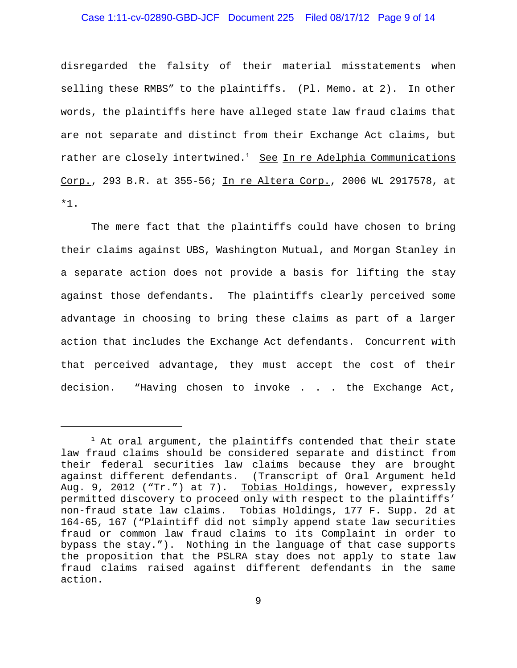#### Case 1:11-cv-02890-GBD-JCF Document 225 Filed 08/17/12 Page 9 of 14

disregarded the falsity of their material misstatements when selling these RMBS" to the plaintiffs. (Pl. Memo. at 2). In other words, the plaintiffs here have alleged state law fraud claims that are not separate and distinct from their Exchange Act claims, but rather are closely intertwined.<sup>1</sup> See In re Adelphia Communications Corp., 293 B.R. at 355-56; In re Altera Corp., 2006 WL 2917578, at \*1.

The mere fact that the plaintiffs could have chosen to bring their claims against UBS, Washington Mutual, and Morgan Stanley in a separate action does not provide a basis for lifting the stay against those defendants. The plaintiffs clearly perceived some advantage in choosing to bring these claims as part of a larger action that includes the Exchange Act defendants. Concurrent with that perceived advantage, they must accept the cost of their decision. "Having chosen to invoke . . . the Exchange Act,

 $1$  At oral argument, the plaintiffs contended that their state law fraud claims should be considered separate and distinct from their federal securities law claims because they are brought against different defendants. (Transcript of Oral Argument held Aug. 9, 2012 ("Tr.") at 7). Tobias Holdings, however, expressly permitted discovery to proceed only with respect to the plaintiffs' non-fraud state law claims. Tobias Holdings, 177 F. Supp. 2d at 164-65, 167 ("Plaintiff did not simply append state law securities fraud or common law fraud claims to its Complaint in order to bypass the stay."). Nothing in the language of that case supports the proposition that the PSLRA stay does not apply to state law fraud claims raised against different defendants in the same action.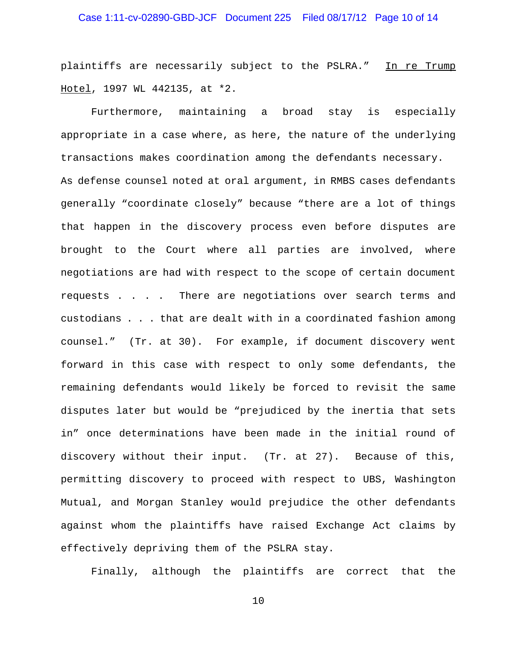## Case 1:11-cv-02890-GBD-JCF Document 225 Filed 08/17/12 Page 10 of 14

plaintiffs are necessarily subject to the PSLRA." In re Trump Hotel, 1997 WL 442135, at \*2.

Furthermore, maintaining a broad stay is especially appropriate in a case where, as here, the nature of the underlying transactions makes coordination among the defendants necessary. As defense counsel noted at oral argument, in RMBS cases defendants generally "coordinate closely" because "there are a lot of things that happen in the discovery process even before disputes are brought to the Court where all parties are involved, where negotiations are had with respect to the scope of certain document requests . . . . There are negotiations over search terms and custodians . . . that are dealt with in a coordinated fashion among counsel." (Tr. at 30). For example, if document discovery went forward in this case with respect to only some defendants, the remaining defendants would likely be forced to revisit the same disputes later but would be "prejudiced by the inertia that sets in" once determinations have been made in the initial round of discovery without their input. (Tr. at 27). Because of this, permitting discovery to proceed with respect to UBS, Washington Mutual, and Morgan Stanley would prejudice the other defendants against whom the plaintiffs have raised Exchange Act claims by effectively depriving them of the PSLRA stay.

Finally, although the plaintiffs are correct that the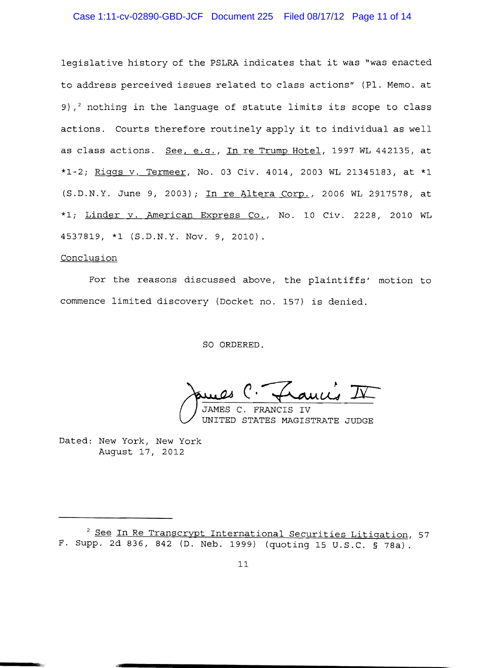### Case 1:11-cv-02890-GBD-JCF Document 225 Filed 08/17/12 Page 11 of 14

legislative history of the PSLRA indicates that it was "was enacted to address perceived issues related to class actions" (Pl. Memo. at 9),<sup>2</sup> nothing in the language of statute limits its scope to class actions. Courts therefore routinely apply it to individual as well as class actions. See. e.g., In re Trump Hotel, 1997 WL 442135, at \*1-2; Riggs v. Termeer, No. 03 Civ. 4014, 2003 WL 21345183, at \*1 (S.D.N.Y. June 9, 2003); In re Altera Corp., 2006 WL 2917578, at \*1; Linder v. American Express Co., No. 10 Civ. 2228, 2010 WL 4537819, \*1 (S.D.N.Y. Nov. 9, 2010).

#### Conclusion

For the reasons discussed above, the plaintiffs' motion to commence limited discovery (Docket no. 157) is denied.

SO ORDERED.

James C. Francis IV

JAMES C. FRANCIS IV UNITED STATES MAGISTRATE JUDGE

Dated: New York, New York August 17, 2012

<sup>2</sup> See In Re Transcrypt International Securities Litigation, 57 F. Supp. 2d 836, 842 (D. Neb. 1999) (quoting 15 U.S.C. § 78a).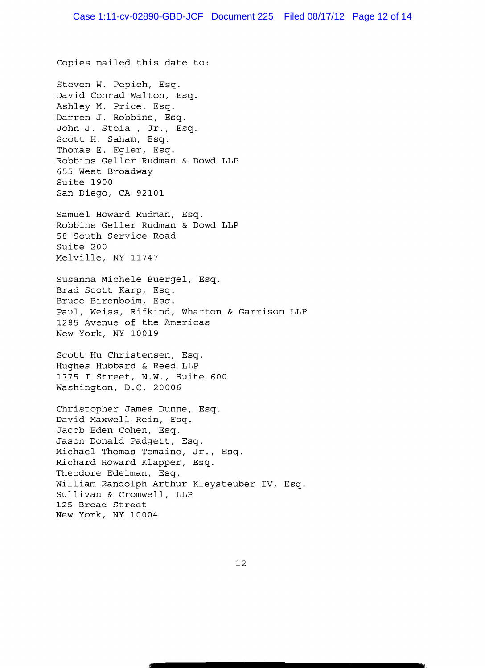Copies mailed this date to:

Steven W. Pepich, Esq. David Conrad Walton, Esq. Ashley M. Price, Esq. Darren J. Robbins, Esq. John J. Stoia, Jr., Esq. Scott H. Saham, Esq. Thomas E. Egler, Esq. Robbins Geller Rudman & Dowd LLP 655 West Broadway Suite 1900 San Diego, CA 92101

Samuel Howard Rudman, Esq. Robbins Geller Rudman & Dowd LLP 58 South Service Road Suite 200 Melville, NY 11747

Susanna Michele Buergel, Esq. Brad Scott Karp, Esq. Bruce Birenboim, Esq. Paul, Weiss, Rifkind, Wharton & Garrison LLP 1285 Avenue of the Americas New York, NY 10019

Scott Hu Christensen, Esq. Hughes Hubbard & Reed LLP 1775 I Street, N.W., Suite 600 Washington, D.C. 20006

Christopher James Dunne, Esq. David Maxwell Rein, Esq. Jacob Eden Cohen, Esq. Jason Donald Padgett, Esq. Michael Thomas Tomaino, Jr., Esq. Richard Howard Klapper, Esq. Theodore Edelman, Esq. William Randolph Arthur Kleysteuber IV, Esq. Sullivan & Cromwell, LLP 125 Broad Street New York, NY 10004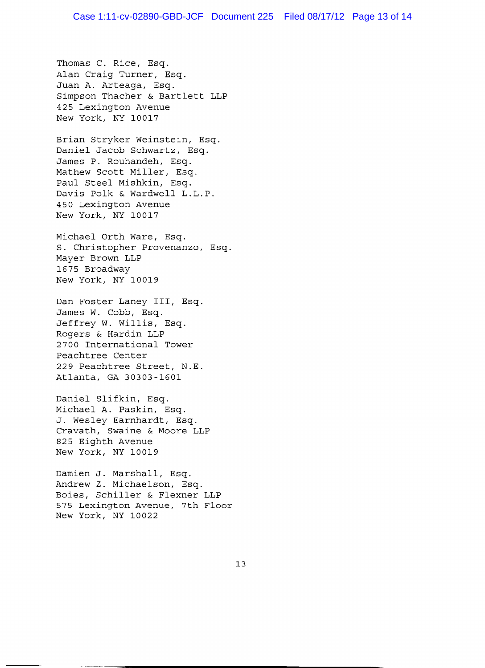Thomas C. Rice, Esq. Alan Craig Turner, Esq. Juan A. Arteaga, Esq. Simpson Thacher & Bartlett LLP 425 Lexington Avenue New York, NY 10017

Brian Stryker Weinstein, Esq. Daniel Jacob Schwartz, Esq. James P. Rouhandeh, Esq. Mathew Scott Miller, Esq. Paul Steel Mishkin, Esq. Davis Polk & Wardwell L.L.P. 450 Lexington Avenue New York, NY 10017

Michael Orth Ware, Esq. S. Christopher Provenanzo, Esq. Mayer Brown LLP 1675 Broadway New York, NY 10019

Dan Foster Laney III, Esq. James W. Cobb, Esq. Jeffrey W. Willis, Esq. Rogers & Hardin LLP 2700 International Tower Peachtree Center 229 Peachtree Street, N.E. Atlanta, GA 30303-1601

Daniel Slifkin, Esq. Michael A. Paskin, Esq. J. Wesley Earnhardt, Esq. Cravath, Swaine & Moore LLP 825 Eighth Avenue New York, NY 10019

Damien J. Marshall, Esq. Andrew Z. Michaelson, Esq. Boies, Schiller & Flexner LLP 575 Lexington Avenue, 7th Floor New York, NY 10022